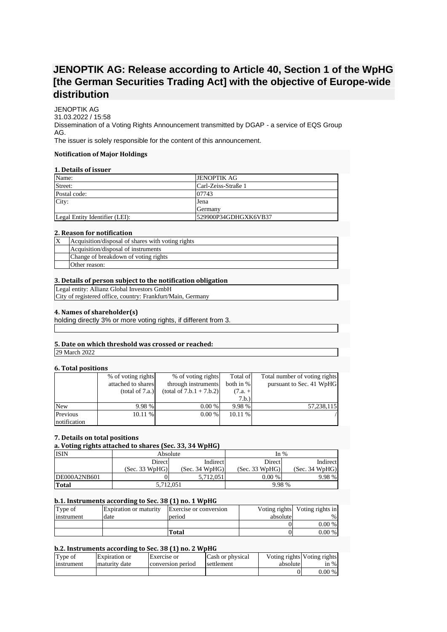# **JENOPTIK AG: Release according to Article 40, Section 1 of the WpHG [the German Securities Trading Act] with the objective of Europe-wide distribution**

JENOPTIK AG 31.03.2022 / 15:58 Dissemination of a Voting Rights Announcement transmitted by DGAP - a service of EQS Group AG. The issuer is solely responsible for the content of this announcement.

### **Notification of Major Holdings**

## **1. Details of issuer**

| Name:                          | <b>JENOPTIK AG</b>   |
|--------------------------------|----------------------|
| Street:                        | Carl-Zeiss-Straße 1  |
| Postal code:                   | 07743                |
| City:                          | Jena                 |
|                                | <b>IGermany</b>      |
| Legal Entity Identifier (LEI): | 529900P34GDHGXK6VB37 |

#### **2. Reason for notification**

| Acquisition/disposal of shares with voting rights |
|---------------------------------------------------|
| Acquisition/disposal of instruments               |
| Change of breakdown of voting rights              |
| Other reason:                                     |

## **3. Details of person subject to the notification obligation**

Legal entity: Allianz Global Investors GmbH City of registered office, country: Frankfurt/Main, Germany

### **4. Names of shareholder(s)**

holding directly 3% or more voting rights, if different from 3.

# **5. Date on which threshold was crossed or reached:**

29 March 2022

#### **6. Total positions**

|              | % of voting rights | % of voting rights         | Total of  | Total number of voting rights |
|--------------|--------------------|----------------------------|-----------|-------------------------------|
|              | attached to shares | through instruments        | both in % | pursuant to Sec. 41 WpHG      |
|              | (total of 7.a.)    | $(total of 7.b.1 + 7.b.2)$ | $(7.a. +$ |                               |
|              |                    |                            | 7.b.)     |                               |
| <b>New</b>   | 9.98 %             | 0.00 %                     | 9.98 %    | 57,238,115                    |
| Previous     | 10.11%             | 0.00 %                     | $10.11\%$ |                               |
| notification |                    |                            |           |                               |

## **7. Details on total positions**

| a. Voting rights attached to shares (Sec. 33, 34 WpHG) |                    |                |                |                |  |  |
|--------------------------------------------------------|--------------------|----------------|----------------|----------------|--|--|
| <b>ISIN</b>                                            | Absolute<br>In $%$ |                |                |                |  |  |
|                                                        | <b>Direct</b>      | Indirect       | Direct         | Indirect       |  |  |
|                                                        | (Sec. 33 WpHG)     | (Sec. 34 WpHG) | (Sec. 33 WpHG) | (Sec. 34 WpHG) |  |  |
| DE000A2NB601                                           |                    | 5.712.051      | 0.00 %         | 9.98 %         |  |  |
| <b>Total</b>                                           | 5,712,051          |                | 9.98 %         |                |  |  |

# **b.1. Instruments according to Sec. 38 (1) no. 1 WpHG**

| Type of    | <b>Expiration or maturity</b> | Exercise or conversion |          | Voting rights Voting rights in |
|------------|-------------------------------|------------------------|----------|--------------------------------|
| instrument | date                          | period                 | absolute | $\frac{0}{0}$                  |
|            |                               |                        |          | $0.00\%$                       |
|            |                               | Total                  |          | $0.00\%$                       |

# **b.2. Instruments according to Sec. 38 (1) no. 2 WpHG**

| Type of           | <b>Expiration</b> or | Exercise or       | Cash or physical |          | Voting rights Voting rights |
|-------------------|----------------------|-------------------|------------------|----------|-----------------------------|
| <b>Instrument</b> | maturity date        | conversion period | settlement       | absolute | in %                        |
|                   |                      |                   |                  | 0        | $0.00\%$                    |